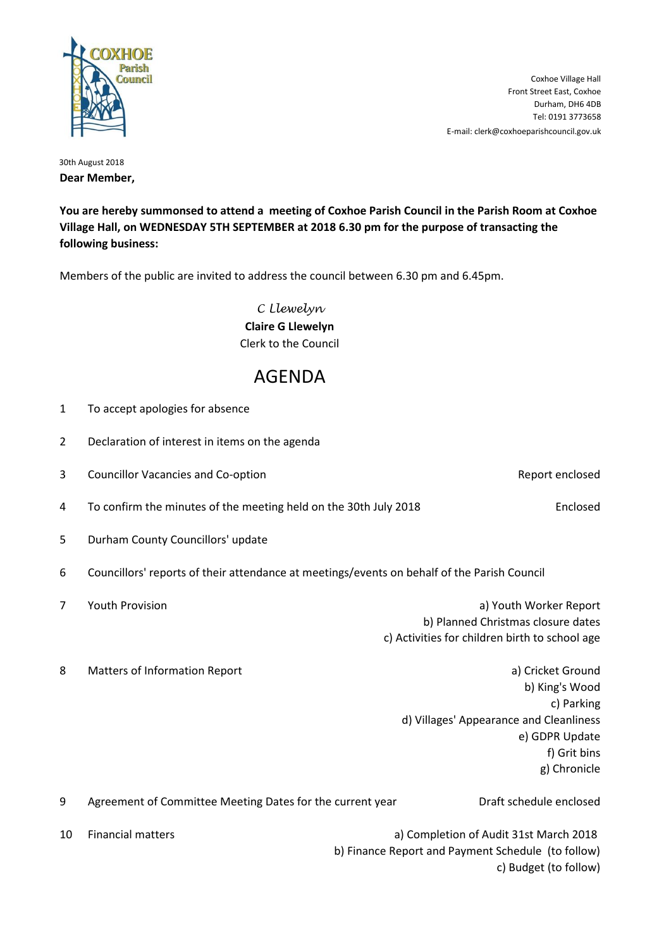

E-mail: clerk@coxhoeparishcouncil.gov.uk Tel: 0191 3773658 Durham, DH6 4DB Front Street East, Coxhoe Coxhoe Village Hall

30th August 2018 **Dear Member,**

**You are hereby summonsed to attend a meeting of Coxhoe Parish Council in the Parish Room at Coxhoe Village Hall, on WEDNESDAY 5TH SEPTEMBER at 2018 6.30 pm for the purpose of transacting the following business:**

Members of the public are invited to address the council between 6.30 pm and 6.45pm.

*C Llewelyn* **Claire G Llewelyn** Clerk to the Council

## AGENDA

| $\mathbf 1$    | To accept apologies for absence                                  |                                                                                                                                                |  |
|----------------|------------------------------------------------------------------|------------------------------------------------------------------------------------------------------------------------------------------------|--|
| $\overline{2}$ | Declaration of interest in items on the agenda                   |                                                                                                                                                |  |
| 3              | <b>Councillor Vacancies and Co-option</b>                        | Report enclosed                                                                                                                                |  |
| 4              | To confirm the minutes of the meeting held on the 30th July 2018 | Enclosed                                                                                                                                       |  |
| 5              | Durham County Councillors' update                                |                                                                                                                                                |  |
| 6              |                                                                  | Councillors' reports of their attendance at meetings/events on behalf of the Parish Council                                                    |  |
| $\overline{7}$ | Youth Provision                                                  | a) Youth Worker Report<br>b) Planned Christmas closure dates<br>c) Activities for children birth to school age                                 |  |
| 8              | Matters of Information Report                                    | a) Cricket Ground<br>b) King's Wood<br>c) Parking<br>d) Villages' Appearance and Cleanliness<br>e) GDPR Update<br>f) Grit bins<br>g) Chronicle |  |
| 9              | Agreement of Committee Meeting Dates for the current year        | Draft schedule enclosed                                                                                                                        |  |
| 10             | <b>Financial matters</b>                                         | a) Completion of Audit 31st March 2018<br>b) Finance Report and Payment Schedule (to follow)<br>c) Budget (to follow)                          |  |